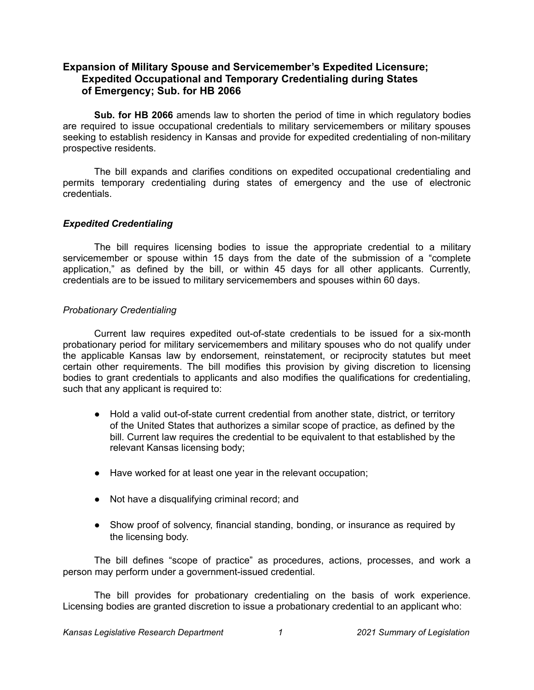# **Expansion of Military Spouse and Servicemember's Expedited Licensure; Expedited Occupational and Temporary Credentialing during States of Emergency; Sub. for HB 2066**

**Sub. for HB 2066** amends law to shorten the period of time in which regulatory bodies are required to issue occupational credentials to military servicemembers or military spouses seeking to establish residency in Kansas and provide for expedited credentialing of non-military prospective residents.

The bill expands and clarifies conditions on expedited occupational credentialing and permits temporary credentialing during states of emergency and the use of electronic credentials.

## *Expedited Credentialing*

The bill requires licensing bodies to issue the appropriate credential to a military servicemember or spouse within 15 days from the date of the submission of a "complete" application," as defined by the bill, or within 45 days for all other applicants. Currently, credentials are to be issued to military servicemembers and spouses within 60 days.

### *Probationary Credentialing*

Current law requires expedited out-of-state credentials to be issued for a six-month probationary period for military servicemembers and military spouses who do not qualify under the applicable Kansas law by endorsement, reinstatement, or reciprocity statutes but meet certain other requirements. The bill modifies this provision by giving discretion to licensing bodies to grant credentials to applicants and also modifies the qualifications for credentialing, such that any applicant is required to:

- Hold a valid out-of-state current credential from another state, district, or territory of the United States that authorizes a similar scope of practice, as defined by the bill. Current law requires the credential to be equivalent to that established by the relevant Kansas licensing body;
- Have worked for at least one year in the relevant occupation;
- Not have a disqualifying criminal record; and
- Show proof of solvency, financial standing, bonding, or insurance as required by the licensing body.

The bill defines "scope of practice" as procedures, actions, processes, and work a person may perform under a government-issued credential.

The bill provides for probationary credentialing on the basis of work experience. Licensing bodies are granted discretion to issue a probationary credential to an applicant who: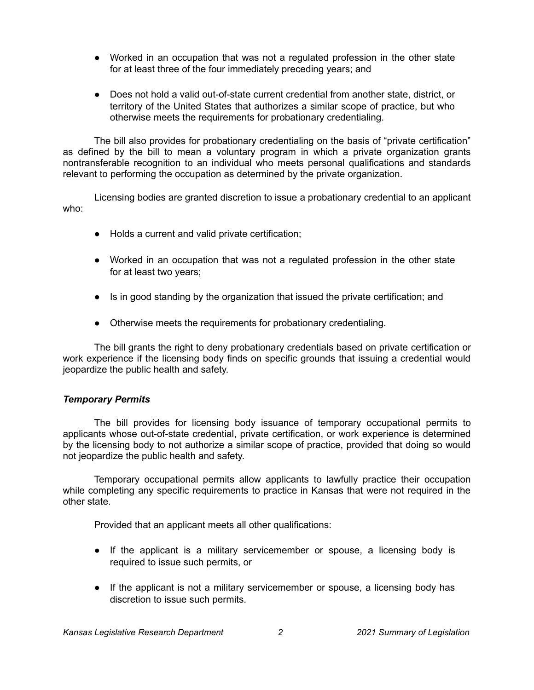- Worked in an occupation that was not a regulated profession in the other state for at least three of the four immediately preceding years; and
- Does not hold a valid out-of-state current credential from another state, district, or territory of the United States that authorizes a similar scope of practice, but who otherwise meets the requirements for probationary credentialing.

The bill also provides for probationary credentialing on the basis of "private certification" as defined by the bill to mean a voluntary program in which a private organization grants nontransferable recognition to an individual who meets personal qualifications and standards relevant to performing the occupation as determined by the private organization.

Licensing bodies are granted discretion to issue a probationary credential to an applicant who:

- Holds a current and valid private certification;
- Worked in an occupation that was not a regulated profession in the other state for at least two years;
- Is in good standing by the organization that issued the private certification; and
- Otherwise meets the requirements for probationary credentialing.

The bill grants the right to deny probationary credentials based on private certification or work experience if the licensing body finds on specific grounds that issuing a credential would jeopardize the public health and safety.

## *Temporary Permits*

The bill provides for licensing body issuance of temporary occupational permits to applicants whose out-of-state credential, private certification, or work experience is determined by the licensing body to not authorize a similar scope of practice, provided that doing so would not jeopardize the public health and safety.

Temporary occupational permits allow applicants to lawfully practice their occupation while completing any specific requirements to practice in Kansas that were not required in the other state.

Provided that an applicant meets all other qualifications:

- If the applicant is a military servicemember or spouse, a licensing body is required to issue such permits, or
- If the applicant is not a military servicemember or spouse, a licensing body has discretion to issue such permits.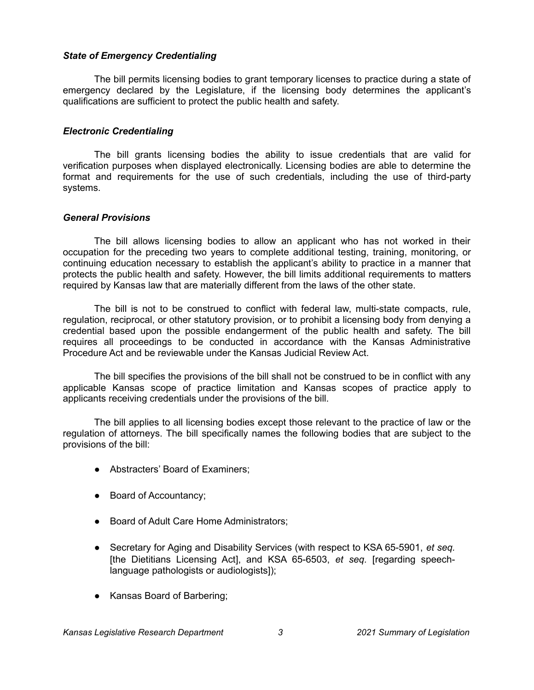### *State of Emergency Credentialing*

The bill permits licensing bodies to grant temporary licenses to practice during a state of emergency declared by the Legislature, if the licensing body determines the applicant's qualifications are sufficient to protect the public health and safety.

### *Electronic Credentialing*

The bill grants licensing bodies the ability to issue credentials that are valid for verification purposes when displayed electronically. Licensing bodies are able to determine the format and requirements for the use of such credentials, including the use of third-party systems.

### *General Provisions*

The bill allows licensing bodies to allow an applicant who has not worked in their occupation for the preceding two years to complete additional testing, training, monitoring, or continuing education necessary to establish the applicant's ability to practice in a manner that protects the public health and safety. However, the bill limits additional requirements to matters required by Kansas law that are materially different from the laws of the other state.

The bill is not to be construed to conflict with federal law, multi-state compacts, rule, regulation, reciprocal, or other statutory provision, or to prohibit a licensing body from denying a credential based upon the possible endangerment of the public health and safety. The bill requires all proceedings to be conducted in accordance with the Kansas Administrative Procedure Act and be reviewable under the Kansas Judicial Review Act.

The bill specifies the provisions of the bill shall not be construed to be in conflict with any applicable Kansas scope of practice limitation and Kansas scopes of practice apply to applicants receiving credentials under the provisions of the bill.

The bill applies to all licensing bodies except those relevant to the practice of law or the regulation of attorneys. The bill specifically names the following bodies that are subject to the provisions of the bill:

- Abstracters' Board of Examiners;
- Board of Accountancy;
- Board of Adult Care Home Administrators;
- Secretary for Aging and Disability Services (with respect to KSA 65-5901, *et seq.* [the Dietitians Licensing Act], and KSA 65-6503, *et seq.* [regarding speechlanguage pathologists or audiologists]);
- Kansas Board of Barbering;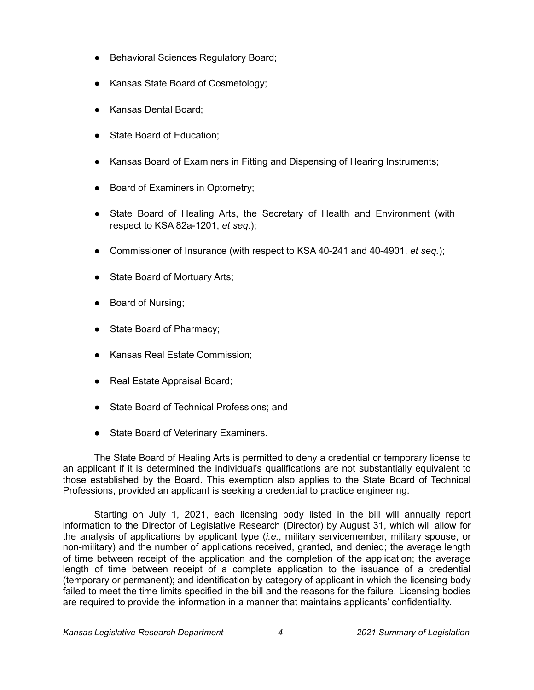- Behavioral Sciences Regulatory Board;
- Kansas State Board of Cosmetology;
- Kansas Dental Board;
- State Board of Education;
- Kansas Board of Examiners in Fitting and Dispensing of Hearing Instruments;
- Board of Examiners in Optometry;
- State Board of Healing Arts, the Secretary of Health and Environment (with respect to KSA 82a-1201, *et seq.*);
- Commissioner of Insurance (with respect to KSA 40-241 and 40-4901, *et seq.*);
- State Board of Mortuary Arts;
- Board of Nursing;
- State Board of Pharmacy;
- Kansas Real Estate Commission;
- Real Estate Appraisal Board;
- State Board of Technical Professions; and
- State Board of Veterinary Examiners.

The State Board of Healing Arts is permitted to deny a credential or temporary license to an applicant if it is determined the individual's qualifications are not substantially equivalent to those established by the Board. This exemption also applies to the State Board of Technical Professions, provided an applicant is seeking a credential to practice engineering.

Starting on July 1, 2021, each licensing body listed in the bill will annually report information to the Director of Legislative Research (Director) by August 31, which will allow for the analysis of applications by applicant type (*i.e.*, military servicemember, military spouse, or non-military) and the number of applications received, granted, and denied; the average length of time between receipt of the application and the completion of the application; the average length of time between receipt of a complete application to the issuance of a credential (temporary or permanent); and identification by category of applicant in which the licensing body failed to meet the time limits specified in the bill and the reasons for the failure. Licensing bodies are required to provide the information in a manner that maintains applicants' confidentiality.